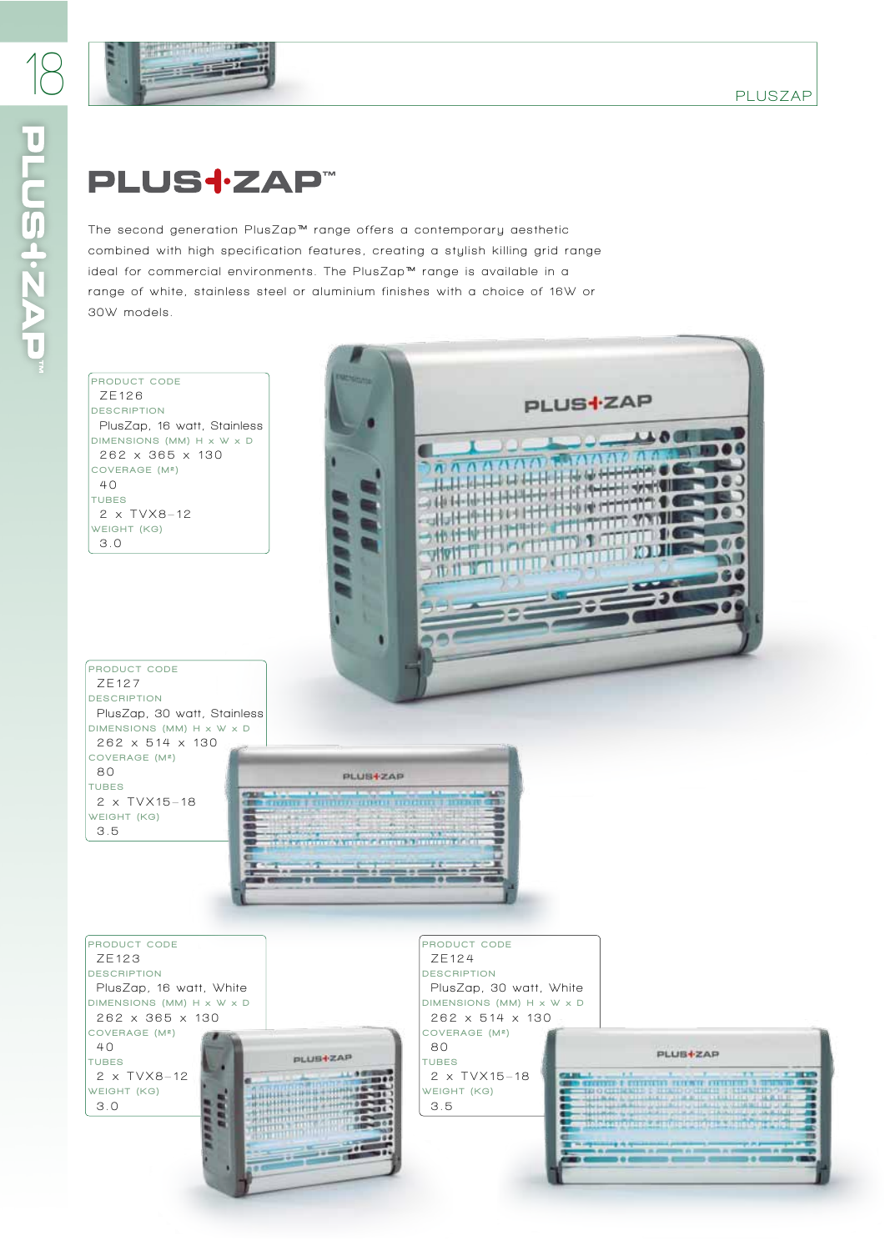

## **PLUS<sup>-</sup>ZAP™**

The second generation PlusZap<sup>™</sup> range offers a contemporary aesthetic combined with high specification features, creating a stylish killing grid range ideal for commercial environments. The PlusZap™ range is available in a range of white, stainless steel or aluminium finishes with a choice of 16W or **30W models.**

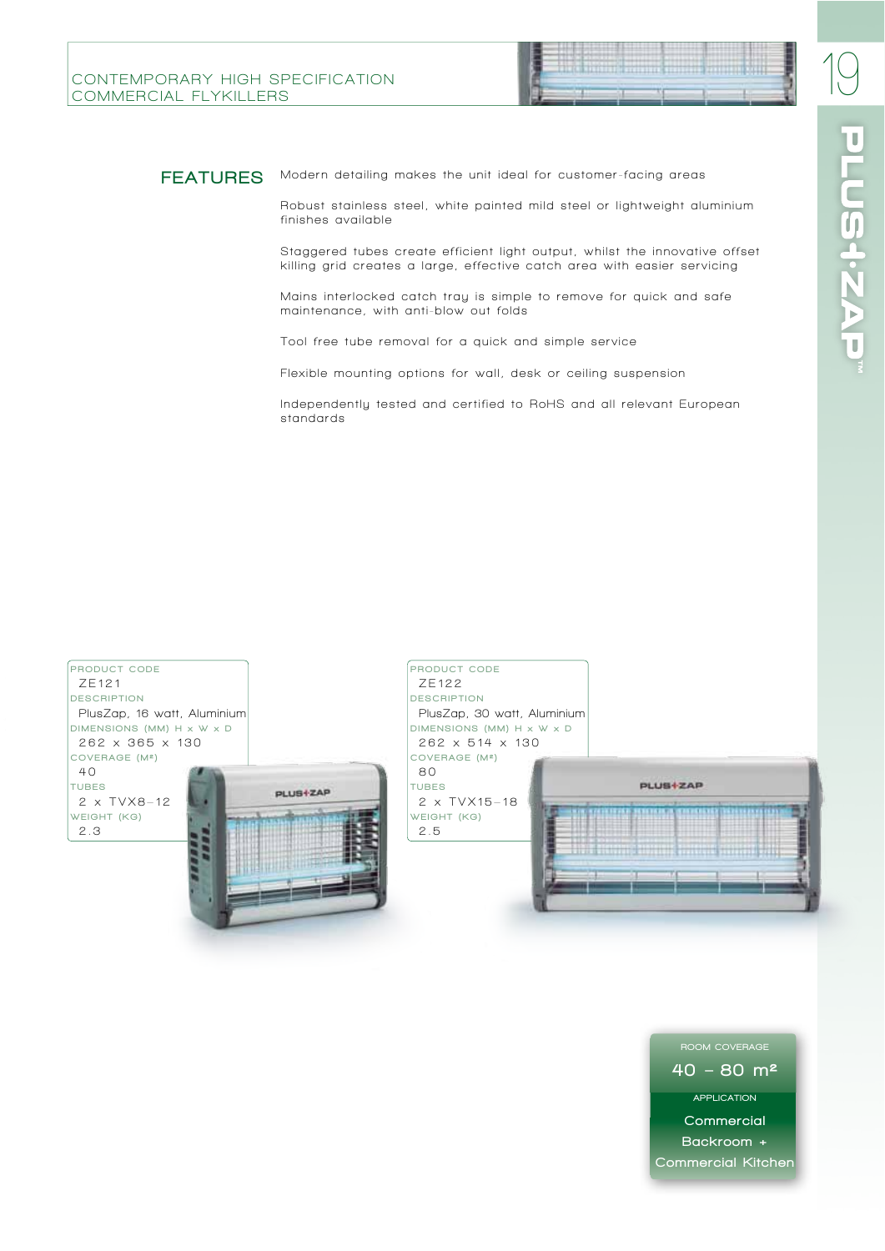

#### FEATURES Modern detailing makes the unit ideal for customer-facing areas

Robust stainless steel, white painted mild steel or lightweight aluminium **finishes available**

Staggered tubes create efficient light output, whilst the innovative offset killing grid creates a large, effective catch area with easier servicing

Mains interlocked catch tray is simple to remove for quick and safe maintenance, with anti-blow out folds

**Tool free tube removal for a quick and simple service**

**Flexible mounting options for wall, desk or ceiling suspension**

Independently tested and certified to RoHS and all relevant European **standards**



 $40 - 80$  m<sup>2</sup> APPLICATION **Commercial** Backroom + Commercial Kitchen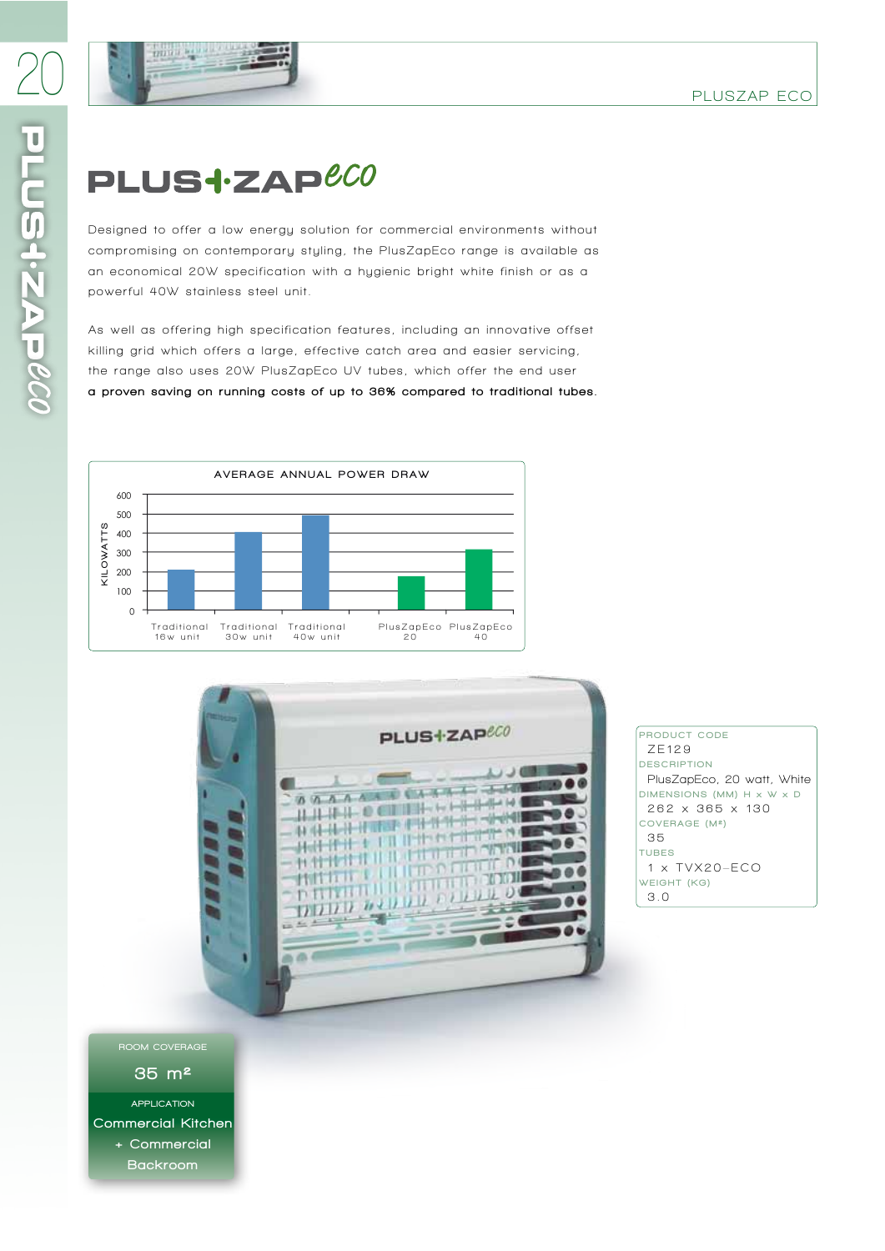

## PLUS<sup>+</sup>ZAP<sup>eco</sup>

Designed to offer a low energy solution for commercial environments without compromising on contemporary styling, the PlusZapEco range is available as an economical 20W specification with a hugienic bright white finish or as a powerful 40W stainless steel unit.

As well as offering high specification features, including an innovative offset killing grid which offers a large, effective catch area and easier servicing, the range also uses 20W PlusZapEco UV tubes, which offer the end user a proven saving on running costs of up to 36% compared to traditional tubes.





PRODUCT CODE **ZE129** DESCRIPTION **PlusZapEco, 20 watt, White** DIMENSIONS (MM) H x W x D **262 x 365 x 130** COVERAGE (M²) **3 5** TUBES **1 x TVX20–ECO** WEIGHT (KG) **3.0**

ROOM COVERAGE

35 m²

APPLICATION Commercial Kitchen + Commercial Backroom